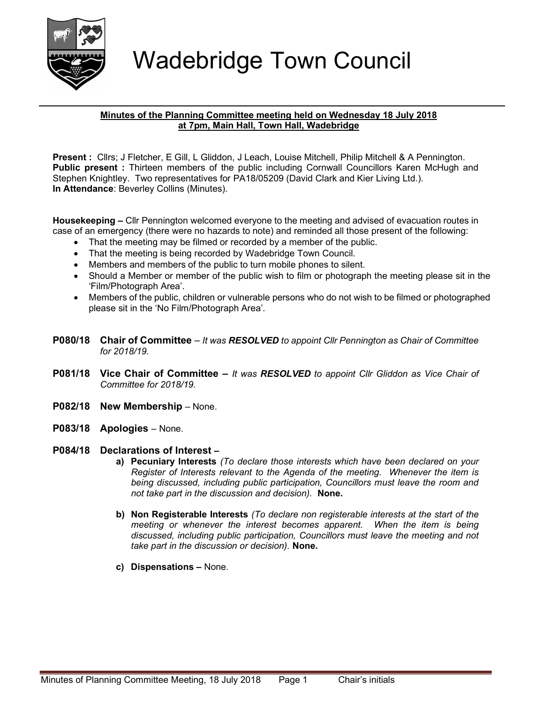

# Wadebridge Town Council

## Minutes of the Planning Committee meeting held on Wednesday 18 July 2018 at 7pm, Main Hall, Town Hall, Wadebridge

Present : Cllrs; J Fletcher, E Gill, L Gliddon, J Leach, Louise Mitchell, Philip Mitchell & A Pennington. Public present : Thirteen members of the public including Cornwall Councillors Karen McHugh and Stephen Knightley. Two representatives for PA18/05209 (David Clark and Kier Living Ltd.). In Attendance: Beverley Collins (Minutes).

Housekeeping – Cllr Pennington welcomed everyone to the meeting and advised of evacuation routes in case of an emergency (there were no hazards to note) and reminded all those present of the following:

- That the meeting may be filmed or recorded by a member of the public.
- That the meeting is being recorded by Wadebridge Town Council.
- Members and members of the public to turn mobile phones to silent.
- Should a Member or member of the public wish to film or photograph the meeting please sit in the 'Film/Photograph Area'.
- Members of the public, children or vulnerable persons who do not wish to be filmed or photographed please sit in the 'No Film/Photograph Area'.
- P080/18 Chair of Committee It was RESOLVED to appoint Cllr Pennington as Chair of Committee for 2018/19.
- **P081/18** Vice Chair of Committee It was RESOLVED to appoint Cllr Gliddon as Vice Chair of Committee for 2018/19.
- P082/18 New Membership None.
- P083/18 Apologies None.

## P084/18 Declarations of Interest –

- a) Pecuniary Interests (To declare those interests which have been declared on your Register of Interests relevant to the Agenda of the meeting. Whenever the item is being discussed, including public participation, Councillors must leave the room and not take part in the discussion and decision). None.
- b) Non Registerable Interests (To declare non registerable interests at the start of the meeting or whenever the interest becomes apparent. When the item is being discussed, including public participation, Councillors must leave the meeting and not take part in the discussion or decision). None.
- c) Dispensations None.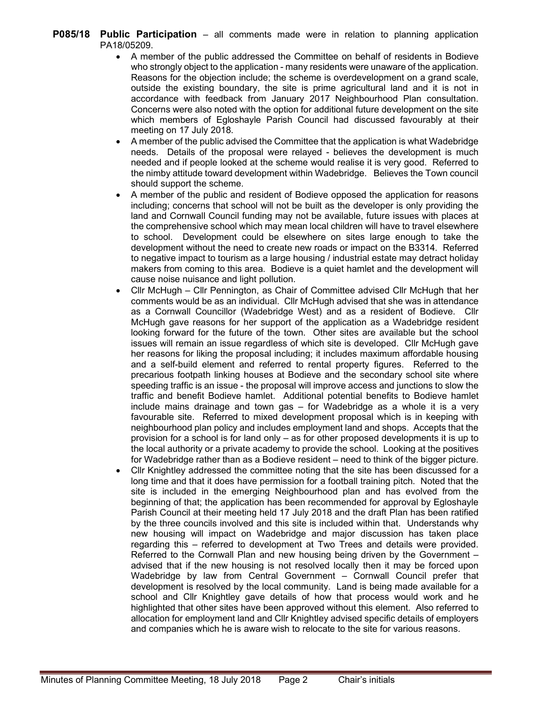- **P085/18 Public Participation** all comments made were in relation to planning application PA18/05209.
	- A member of the public addressed the Committee on behalf of residents in Bodieve who strongly object to the application - many residents were unaware of the application. Reasons for the objection include; the scheme is overdevelopment on a grand scale, outside the existing boundary, the site is prime agricultural land and it is not in accordance with feedback from January 2017 Neighbourhood Plan consultation. Concerns were also noted with the option for additional future development on the site which members of Egloshayle Parish Council had discussed favourably at their meeting on 17 July 2018.
	- A member of the public advised the Committee that the application is what Wadebridge needs. Details of the proposal were relayed - believes the development is much needed and if people looked at the scheme would realise it is very good. Referred to the nimby attitude toward development within Wadebridge. Believes the Town council should support the scheme.
	- A member of the public and resident of Bodieve opposed the application for reasons including; concerns that school will not be built as the developer is only providing the land and Cornwall Council funding may not be available, future issues with places at the comprehensive school which may mean local children will have to travel elsewhere to school. Development could be elsewhere on sites large enough to take the development without the need to create new roads or impact on the B3314. Referred to negative impact to tourism as a large housing / industrial estate may detract holiday makers from coming to this area. Bodieve is a quiet hamlet and the development will cause noise nuisance and light pollution.
	- Cllr McHugh Cllr Pennington, as Chair of Committee advised Cllr McHugh that her comments would be as an individual. Cllr McHugh advised that she was in attendance as a Cornwall Councillor (Wadebridge West) and as a resident of Bodieve. Cllr McHugh gave reasons for her support of the application as a Wadebridge resident looking forward for the future of the town. Other sites are available but the school issues will remain an issue regardless of which site is developed. Cllr McHugh gave her reasons for liking the proposal including; it includes maximum affordable housing and a self-build element and referred to rental property figures. Referred to the precarious footpath linking houses at Bodieve and the secondary school site where speeding traffic is an issue - the proposal will improve access and junctions to slow the traffic and benefit Bodieve hamlet. Additional potential benefits to Bodieve hamlet include mains drainage and town gas – for Wadebridge as a whole it is a very favourable site. Referred to mixed development proposal which is in keeping with neighbourhood plan policy and includes employment land and shops. Accepts that the provision for a school is for land only – as for other proposed developments it is up to the local authority or a private academy to provide the school. Looking at the positives for Wadebridge rather than as a Bodieve resident – need to think of the bigger picture.
	- Cllr Knightley addressed the committee noting that the site has been discussed for a long time and that it does have permission for a football training pitch. Noted that the site is included in the emerging Neighbourhood plan and has evolved from the beginning of that; the application has been recommended for approval by Egloshayle Parish Council at their meeting held 17 July 2018 and the draft Plan has been ratified by the three councils involved and this site is included within that. Understands why new housing will impact on Wadebridge and major discussion has taken place regarding this – referred to development at Two Trees and details were provided. Referred to the Cornwall Plan and new housing being driven by the Government – advised that if the new housing is not resolved locally then it may be forced upon Wadebridge by law from Central Government – Cornwall Council prefer that development is resolved by the local community. Land is being made available for a school and Cllr Knightley gave details of how that process would work and he highlighted that other sites have been approved without this element. Also referred to allocation for employment land and Cllr Knightley advised specific details of employers and companies which he is aware wish to relocate to the site for various reasons.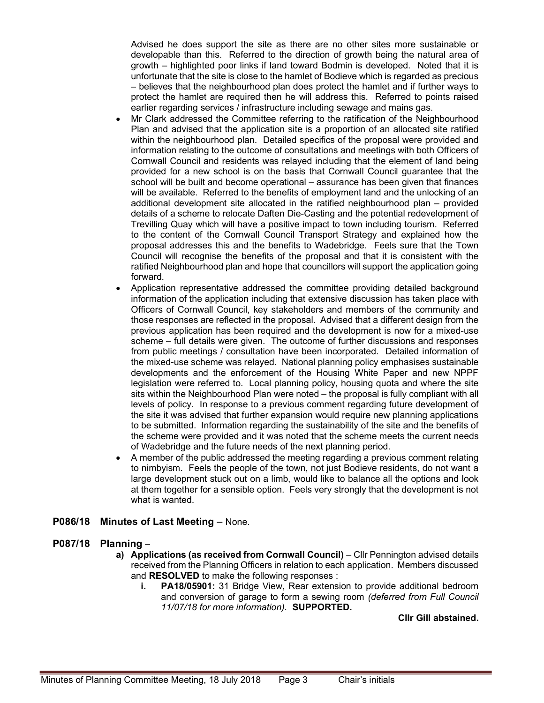Advised he does support the site as there are no other sites more sustainable or developable than this. Referred to the direction of growth being the natural area of growth – highlighted poor links if land toward Bodmin is developed. Noted that it is unfortunate that the site is close to the hamlet of Bodieve which is regarded as precious – believes that the neighbourhood plan does protect the hamlet and if further ways to protect the hamlet are required then he will address this. Referred to points raised earlier regarding services / infrastructure including sewage and mains gas.

- Mr Clark addressed the Committee referring to the ratification of the Neighbourhood Plan and advised that the application site is a proportion of an allocated site ratified within the neighbourhood plan. Detailed specifics of the proposal were provided and information relating to the outcome of consultations and meetings with both Officers of Cornwall Council and residents was relayed including that the element of land being provided for a new school is on the basis that Cornwall Council guarantee that the school will be built and become operational – assurance has been given that finances will be available. Referred to the benefits of employment land and the unlocking of an additional development site allocated in the ratified neighbourhood plan – provided details of a scheme to relocate Daften Die-Casting and the potential redevelopment of Trevilling Quay which will have a positive impact to town including tourism. Referred to the content of the Cornwall Council Transport Strategy and explained how the proposal addresses this and the benefits to Wadebridge. Feels sure that the Town Council will recognise the benefits of the proposal and that it is consistent with the ratified Neighbourhood plan and hope that councillors will support the application going forward.
- Application representative addressed the committee providing detailed background information of the application including that extensive discussion has taken place with Officers of Cornwall Council, key stakeholders and members of the community and those responses are reflected in the proposal. Advised that a different design from the previous application has been required and the development is now for a mixed-use scheme – full details were given. The outcome of further discussions and responses from public meetings / consultation have been incorporated. Detailed information of the mixed-use scheme was relayed. National planning policy emphasises sustainable developments and the enforcement of the Housing White Paper and new NPPF legislation were referred to. Local planning policy, housing quota and where the site sits within the Neighbourhood Plan were noted – the proposal is fully compliant with all levels of policy. In response to a previous comment regarding future development of the site it was advised that further expansion would require new planning applications to be submitted. Information regarding the sustainability of the site and the benefits of the scheme were provided and it was noted that the scheme meets the current needs of Wadebridge and the future needs of the next planning period.
- A member of the public addressed the meeting regarding a previous comment relating to nimbyism. Feels the people of the town, not just Bodieve residents, do not want a large development stuck out on a limb, would like to balance all the options and look at them together for a sensible option. Feels very strongly that the development is not what is wanted.

### P086/18 Minutes of Last Meeting – None.

### P087/18 Planning –

- a) Applications (as received from Cornwall Council) Cllr Pennington advised details received from the Planning Officers in relation to each application. Members discussed and RESOLVED to make the following responses :
	- i. PA18/05901: 31 Bridge View, Rear extension to provide additional bedroom and conversion of garage to form a sewing room (deferred from Full Council 11/07/18 for more information). SUPPORTED.

Cllr Gill abstained.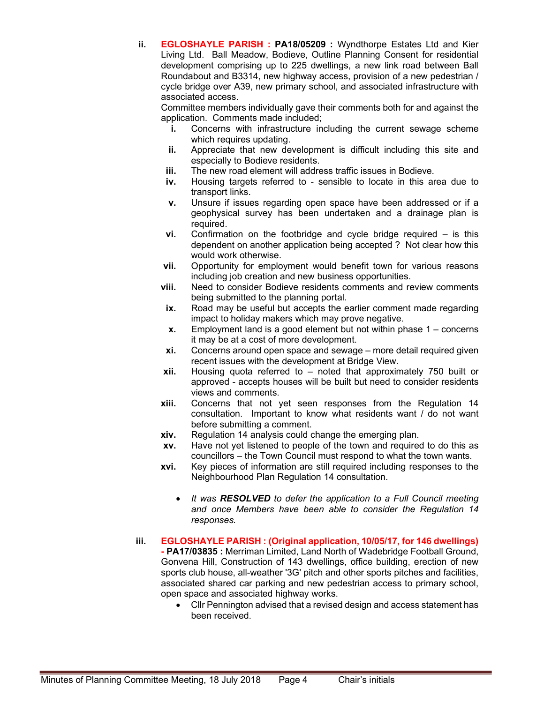ii. **EGLOSHAYLE PARISH : PA18/05209 :** Wyndthorpe Estates Ltd and Kier Living Ltd. Ball Meadow, Bodieve, Outline Planning Consent for residential development comprising up to 225 dwellings, a new link road between Ball Roundabout and B3314, new highway access, provision of a new pedestrian / cycle bridge over A39, new primary school, and associated infrastructure with associated access.

Committee members individually gave their comments both for and against the application. Comments made included;

- i. Concerns with infrastructure including the current sewage scheme which requires updating.
- ii. Appreciate that new development is difficult including this site and especially to Bodieve residents.
- iii. The new road element will address traffic issues in Bodieve.
- iv. Housing targets referred to sensible to locate in this area due to transport links.
- v. Unsure if issues regarding open space have been addressed or if a geophysical survey has been undertaken and a drainage plan is required.
- vi. Confirmation on the footbridge and cycle bridge required is this dependent on another application being accepted ? Not clear how this would work otherwise.
- vii. Opportunity for employment would benefit town for various reasons including job creation and new business opportunities.
- viii. Need to consider Bodieve residents comments and review comments being submitted to the planning portal.
- ix. Road may be useful but accepts the earlier comment made regarding impact to holiday makers which may prove negative.
- $x.$  Employment land is a good element but not within phase  $1$  concerns it may be at a cost of more development.
- xi. Concerns around open space and sewage more detail required given recent issues with the development at Bridge View.
- xii. Housing quota referred to noted that approximately 750 built or approved - accepts houses will be built but need to consider residents views and comments.
- xiii. Concerns that not yet seen responses from the Regulation 14 consultation. Important to know what residents want / do not want before submitting a comment.
- xiv. Regulation 14 analysis could change the emerging plan.
- xv. Have not yet listened to people of the town and required to do this as councillors – the Town Council must respond to what the town wants.
- xvi. Key pieces of information are still required including responses to the Neighbourhood Plan Regulation 14 consultation.
	- It was RESOLVED to defer the application to a Full Council meeting and once Members have been able to consider the Regulation 14 responses.
- iii. EGLOSHAYLE PARISH : (Original application, 10/05/17, for 146 dwellings) - PA17/03835 : Merriman Limited, Land North of Wadebridge Football Ground, Gonvena Hill, Construction of 143 dwellings, office building, erection of new sports club house, all-weather '3G' pitch and other sports pitches and facilities, associated shared car parking and new pedestrian access to primary school, open space and associated highway works.
	- Cllr Pennington advised that a revised design and access statement has been received.